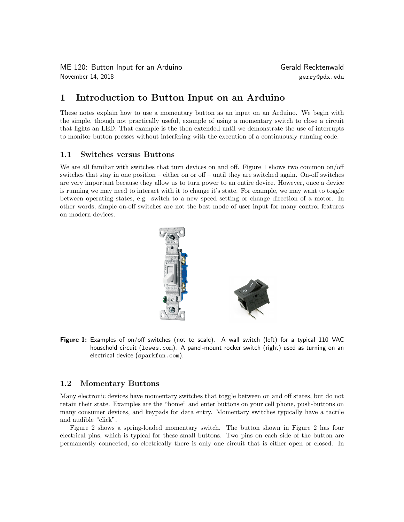ME 120: Button Input for an Arduino and the Controller of Gerald Recktenwald November 14, 2018 gerry@pdx.edu

# 1 Introduction to Button Input on an Arduino

These notes explain how to use a momentary button as an input on an Arduino. We begin with the simple, though not practically useful, example of using a momentary switch to close a circuit that lights an LED. That example is the then extended until we demonstrate the use of interrupts to monitor button presses without interfering with the execution of a continuously running code.

### 1.1 Switches versus Buttons

We are all familiar with switches that turn devices on and off. Figure 1 shows two common on/off switches that stay in one position – either on or off – until they are switched again. On-off switches are very important because they allow us to turn power to an entire device. However, once a device is running we may need to interact with it to change it's state. For example, we may want to toggle between operating states, e.g. switch to a new speed setting or change direction of a motor. In other words, simple on-off switches are not the best mode of user input for many control features on modern devices.



Figure 1: Examples of on/off switches (not to scale). A wall switch (left) for a typical 110 VAC household circuit (lowes.com). A panel-mount rocker switch (right) used as turning on an electrical device (sparkfun.com).

### 1.2 Momentary Buttons

Many electronic devices have momentary switches that toggle between on and off states, but do not retain their state. Examples are the "home" and enter buttons on your cell phone, push-buttons on many consumer devices, and keypads for data entry. Momentary switches typically have a tactile and audible "click".

Figure 2 shows a spring-loaded momentary switch. The button shown in Figure 2 has four electrical pins, which is typical for these small buttons. Two pins on each side of the button are permanently connected, so electrically there is only one circuit that is either open or closed. In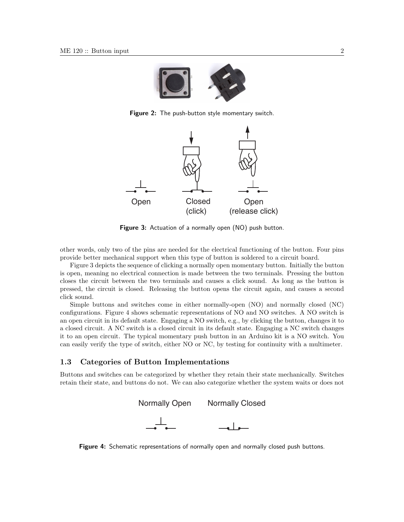

Figure 2: The push-button style momentary switch.



Figure 3: Actuation of a normally open (NO) push button.

other words, only two of the pins are needed for the electrical functioning of the button. Four pins provide better mechanical support when this type of button is soldered to a circuit board.

Figure 3 depicts the sequence of clicking a normally open momentary button. Initially the button is open, meaning no electrical connection is made between the two terminals. Pressing the button closes the circuit between the two terminals and causes a click sound. As long as the button is pressed, the circuit is closed. Releasing the button opens the circuit again, and causes a second click sound.

Simple buttons and switches come in either normally-open (NO) and normally closed (NC) configurations. Figure 4 shows schematic representations of NO and NO switches. A NO switch is an open circuit in its default state. Engaging a NO switch, e.g., by clicking the button, changes it to a closed circuit. A NC switch is a closed circuit in its default state. Engaging a NC switch changes it to an open circuit. The typical momentary push button in an Arduino kit is a NO switch. You can easily verify the type of switch, either NO or NC, by testing for continuity with a multimeter.

### 1.3 Categories of Button Implementations

Buttons and switches can be categorized by whether they retain their state mechanically. Switches retain their state, and buttons do not. We can also categorize whether the system waits or does not



**Figure 4:** Schematic representations of normally open and normally closed push buttons.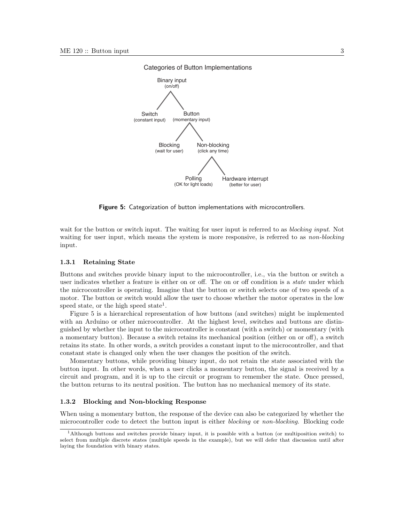

Figure 5: Categorization of button implementations with microcontrollers.

wait for the button or switch input. The waiting for user input is referred to as *blocking input*. Not waiting for user input, which means the system is more responsive, is referred to as *non-blocking* input.

#### 1.3.1 Retaining State

Buttons and switches provide binary input to the microcontroller, i.e., via the button or switch a user indicates whether a feature is either on or off. The on or off condition is a *state* under which the microcontroller is operating. Imagine that the button or switch selects one of two speeds of a motor. The button or switch would allow the user to choose whether the motor operates in the low speed state, or the high speed state<sup>1</sup>.

Figure 5 is a hierarchical representation of how buttons (and switches) might be implemented with an Arduino or other microcontroller. At the highest level, switches and buttons are distinguished by whether the input to the microcontroller is constant (with a switch) or momentary (with a momentary button). Because a switch retains its mechanical position (either on or off), a switch retains its state. In other words, a switch provides a constant input to the microcontroller, and that constant state is changed only when the user changes the position of the switch.

Momentary buttons, while providing binary input, do not retain the state associated with the button input. In other words, when a user clicks a momentary button, the signal is received by a circuit and program, and it is up to the circuit or program to remember the state. Once pressed, the button returns to its neutral position. The button has no mechanical memory of its state.

### 1.3.2 Blocking and Non-blocking Response

When using a momentary button, the response of the device can also be categorized by whether the microcontroller code to detect the button input is either blocking or non-blocking. Blocking code

#### Categories of Button Implementations

<sup>1</sup>Although buttons and switches provide binary input, it is possible with a button (or multiposition switch) to select from multiple discrete states (multiple speeds in the example), but we will defer that discussion until after laying the foundation with binary states.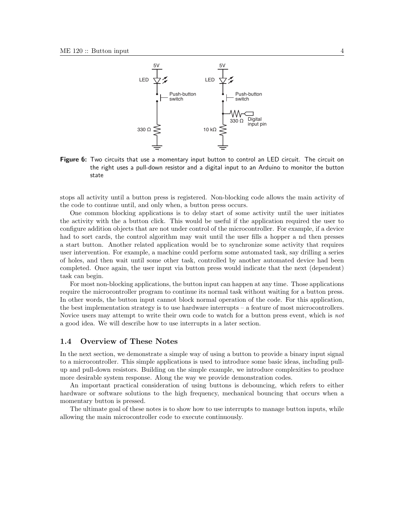

Figure 6: Two circuits that use a momentary input button to control an LED circuit. The circuit on the right uses a pull-down resistor and a digital input to an Arduino to monitor the button state

stops all activity until a button press is registered. Non-blocking code allows the main activity of the code to continue until, and only when, a button press occurs.

One common blocking applications is to delay start of some activity until the user initiates the activity with the a button click. This would be useful if the application required the user to configure addition objects that are not under control of the microcontroller. For example, if a device had to sort cards, the control algorithm may wait until the user fills a hopper a nd then presses a start button. Another related application would be to synchronize some activity that requires user intervention. For example, a machine could perform some automated task, say drilling a series of holes, and then wait until some other task, controlled by another automated device had been completed. Once again, the user input via button press would indicate that the next (dependent) task can begin.

For most non-blocking applications, the button input can happen at any time. Those applications require the microcontroller program to continue its normal task without waiting for a button press. In other words, the button input cannot block normal operation of the code. For this application, the best implementation strategy is to use hardware interrupts – a feature of most microcontrollers. Novice users may attempt to write their own code to watch for a button press event, which is not a good idea. We will describe how to use interrupts in a later section.

### 1.4 Overview of These Notes

In the next section, we demonstrate a simple way of using a button to provide a binary input signal to a microcontroller. This simple applications is used to introduce some basic ideas, including pullup and pull-down resistors. Building on the simple example, we introduce complexities to produce more desirable system response. Along the way we provide demonstration codes.

An important practical consideration of using buttons is debouncing, which refers to either hardware or software solutions to the high frequency, mechanical bouncing that occurs when a momentary button is pressed.

The ultimate goal of these notes is to show how to use interrupts to manage button inputs, while allowing the main microcontroller code to execute continuously.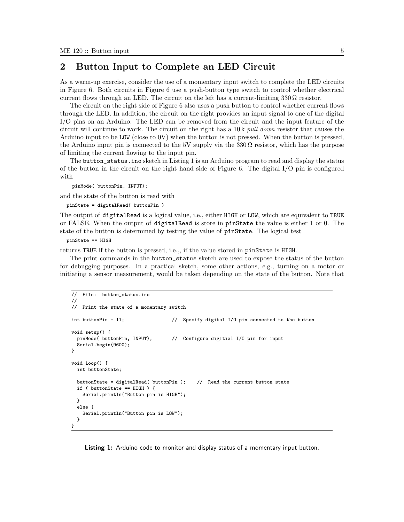## 2 Button Input to Complete an LED Circuit

As a warm-up exercise, consider the use of a momentary input switch to complete the LED circuits in Figure 6. Both circuits in Figure 6 use a push-button type switch to control whether electrical current flows through an LED. The circuit on the left has a current-limiting  $330\Omega$  resistor.

The circuit on the right side of Figure 6 also uses a push button to control whether current flows through the LED. In addition, the circuit on the right provides an input signal to one of the digital I/O pins on an Arduino. The LED can be removed from the circuit and the input feature of the circuit will continue to work. The circuit on the right has a 10 k pull down resistor that causes the Arduino input to be LOW (close to 0V) when the button is not pressed. When the button is pressed, the Arduino input pin is connected to the 5V supply via the 330  $\Omega$  resistor, which has the purpose of limiting the current flowing to the input pin.

The button\_status.ino sketch in Listing 1 is an Arduino program to read and display the status of the button in the circuit on the right hand side of Figure 6. The digital I/O pin is configured with

pinMode( buttonPin, INPUT);

and the state of the button is read with

pinState = digitalRead( buttonPin )

The output of digitalRead is a logical value, i.e., either HIGH or LOW, which are equivalent to TRUE or FALSE. When the output of digitalRead is store in pinState the value is either 1 or 0. The state of the button is determined by testing the value of pinState. The logical test

pinState == HIGH

returns TRUE if the button is pressed, i.e.,, if the value stored in pinState is HIGH.

The print commands in the button\_status sketch are used to expose the status of the button for debugging purposes. In a practical sketch, some other actions, e.g., turning on a motor or initiating a sensor measurement, would be taken depending on the state of the button. Note that

```
// File: button_status.ino
//
// Print the state of a momentary switch
int buttonPin = 11; \frac{1}{2} // Specify digital I/O pin connected to the button
void setup() {
 pinMode( buttonPin, INPUT); // Configure digitial I/O pin for input
  Serial.begin(9600);
}
void loop() {
 int buttonState;
  buttonState = digitalRead( buttonPin ); // Read the current button state
  if ( buttonState == HIGH ) {
    Serial.println("Button pin is HIGH");
  }
  else {
    Serial.println("Button pin is LOW");
  }
}
```
Listing 1: Arduino code to monitor and display status of a momentary input button.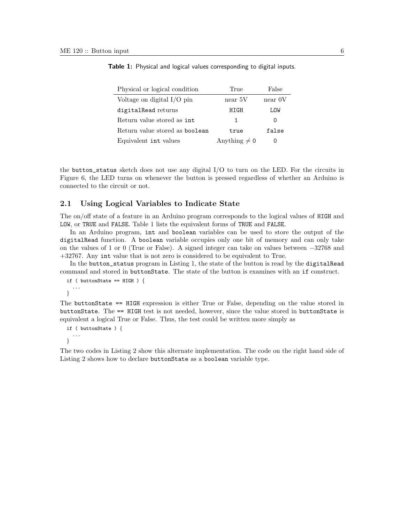| Physical or logical condition  | True              | False   |
|--------------------------------|-------------------|---------|
| Voltage on digital I/O pin     | near 5V           | near 0V |
| digitalRead returns            | HIGH              | LOW     |
| Return value stored as int     | 1                 | Ω       |
| Return value stored as boolean | true              | false   |
| Equivalent int values          | Anything $\neq 0$ |         |

Table 1: Physical and logical values corresponding to digital inputs.

the button\_status sketch does not use any digital I/O to turn on the LED. For the circuits in Figure 6, the LED turns on whenever the button is pressed regardless of whether an Arduino is connected to the circuit or not.

### 2.1 Using Logical Variables to Indicate State

The on/off state of a feature in an Arduino program corresponds to the logical values of HIGH and LOW, or TRUE and FALSE. Table 1 lists the equivalent forms of TRUE and FALSE.

In an Arduino program, int and boolean variables can be used to store the output of the digitalRead function. A boolean variable occupies only one bit of memory and can only take on the values of 1 or 0 (True or False). A signed integer can take on values between −32768 and +32767. Any int value that is not zero is considered to be equivalent to True.

In the button\_status program in Listing 1, the state of the button is read by the digitalRead command and stored in buttonState. The state of the button is examines with an if construct.

```
if ( buttonState == HIGH ) {
  ...
```
}

The buttonState == HIGH expression is either True or False, depending on the value stored in buttonState. The == HIGH test is not needed, however, since the value stored in buttonState is equivalent a logical True or False. Thus, the test could be written more simply as

```
if ( buttonState ) {
  ...
}
```
The two codes in Listing 2 show this alternate implementation. The code on the right hand side of Listing 2 shows how to declare buttonState as a boolean variable type.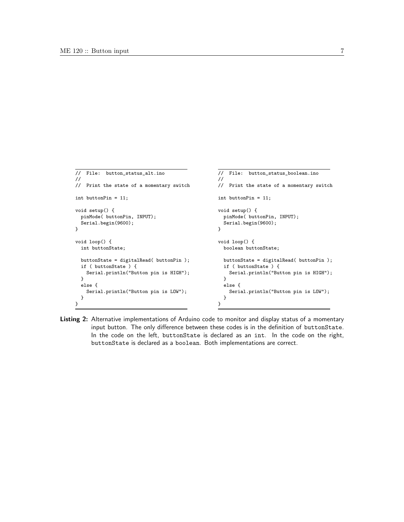```
// File: button_status_alt.ino
//
// Print the state of a momentary switch
int buttonPin = 11;
void setup() {
 pinMode( buttonPin, INPUT);
  Serial.begin(9600);
}
void loop() {
 int buttonState;
 buttonState = digitalRead( buttonPin );
 if ( buttonState ) {
   Serial.println("Button pin is HIGH");
 }
 else {
   Serial.println("Button pin is LOW");
 }
}
                                                   // File: button_status_boolean.ino
                                                   //
                                                   // Print the state of a momentary switch
                                                   int buttonPin = 11;
                                                   void setup() {
                                                     pinMode( buttonPin, INPUT);
                                                     Serial.begin(9600);
                                                   }
                                                   void loop() {
                                                     boolean buttonState;
                                                     buttonState = digitalRead( buttonPin );
                                                     if ( buttonState ) {
                                                       Serial.println("Button pin is HIGH");
                                                     }
                                                     else {
                                                       Serial.println("Button pin is LOW");
                                                     }
                                                   }
```

```
Listing 2: Alternative implementations of Arduino code to monitor and display status of a momentary
          input button. The only difference between these codes is in the definition of buttonState.
          In the code on the left, buttonState is declared as an int. In the code on the right,
          buttonState is declared as a boolean. Both implementations are correct.
```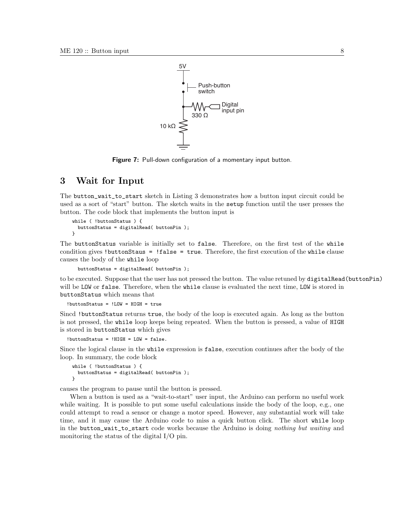

Figure 7: Pull-down configuration of a momentary input button.

## 3 Wait for Input

The button\_wait\_to\_start sketch in Listing 3 demonstrates how a button input circuit could be used as a sort of "start" button. The sketch waits in the setup function until the user presses the button. The code block that implements the button input is

```
while ( !buttonStatus ) {
 buttonStatus = digitalRead( buttonPin );
}
```
The buttonStatus variable is initially set to false. Therefore, on the first test of the while condition gives !buttonStaus = !false = true. Therefore, the first execution of the while clause causes the body of the while loop

buttonStatus = digitalRead( buttonPin );

to be executed. Suppose that the user has not pressed the button. The value retuned by digitalRead(buttonPin) will be LOW or false. Therefore, when the while clause is evaluated the next time, LOW is stored in buttonStatus which means that

!buttonStatus = !LOW = HIGH = true

Sincd !buttonStatus returns true, the body of the loop is executed again. As long as the button is not pressed, the while loop keeps being repeated. When the button is pressed, a value of HIGH is stored in buttonStatus which gives

!buttonStatus = !HIGH = LOW = false.

Since the logical clause in the while expression is false, execution continues after the body of the loop. In summary, the code block

while ( !buttonStatus ) { buttonStatus = digitalRead( buttonPin ); }

causes the program to pause until the button is pressed.

When a button is used as a "wait-to-start" user input, the Arduino can perform no useful work while waiting. It is possible to put some useful calculations inside the body of the loop, e.g., one could attempt to read a sensor or change a motor speed. However, any substantial work will take time, and it may cause the Arduino code to miss a quick button click. The short while loop in the button\_wait\_to\_start code works because the Arduino is doing nothing but waiting and monitoring the status of the digital I/O pin.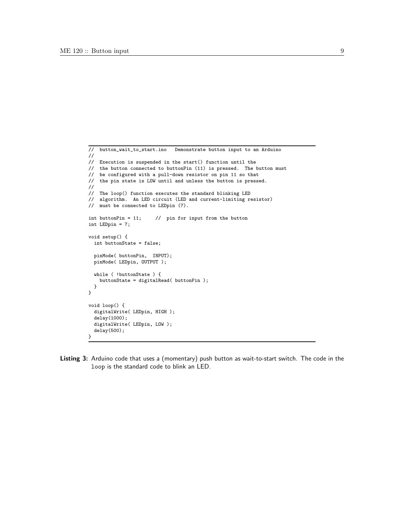```
// button_wait_to_start.ino Demonstrate button input to an Arduino
//
// Execution is suspended in the start() function until the
// the button connected to buttonPin (11) is pressed. The button must
// be configured with a pull-down resistor on pin 11 so that
// the pin state is LOW until and unless the button is pressed.
//
// The loop() function executes the standard blinking LED
// algorithm. An LED circuit (LED and current-limiting resistor)
// must be connected to LEDpin (7).
int buttonPin = 11; // pin for input from the button
int LEDpin = 7;
void setup() {
  int buttonState = false;
 pinMode( buttonPin, INPUT);
 pinMode( LEDpin, OUTPUT );
 while ( !buttonState ) {
   buttonState = digitalRead( buttonPin );
 }
}
void loop() {
 digitalWrite( LEDpin, HIGH );
 delay(1000);
 digitalWrite( LEDpin, LOW );
 delay(500);
}
```
Listing 3: Arduino code that uses a (momentary) push button as wait-to-start switch. The code in the loop is the standard code to blink an LED.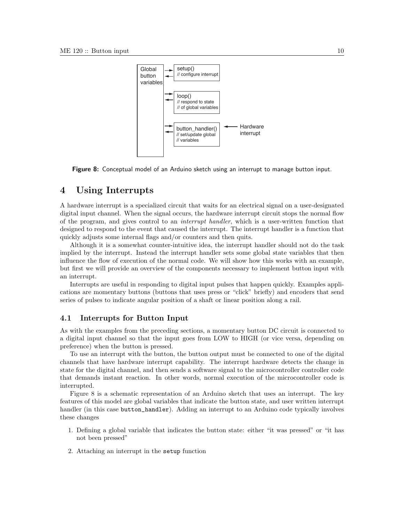

Figure 8: Conceptual model of an Arduino sketch using an interrupt to manage button input.

## 4 Using Interrupts

A hardware interrupt is a specialized circuit that waits for an electrical signal on a user-designated digital input channel. When the signal occurs, the hardware interrupt circuit stops the normal flow of the program, and gives control to an interrupt handler, which is a user-written function that designed to respond to the event that caused the interrupt. The interrupt handler is a function that quickly adjusts some internal flags and/or counters and then quits.

Although it is a somewhat counter-intuitive idea, the interrupt handler should not do the task implied by the interrupt. Instead the interrupt handler sets some global state variables that then influence the flow of execution of the normal code. We will show how this works with an example, but first we will provide an overview of the components necessary to implement button input with an interrupt.

Interrupts are useful in responding to digital input pulses that happen quickly. Examples applications are momentary buttons (buttons that uses press or "click" briefly) and encoders that send series of pulses to indicate angular position of a shaft or linear position along a rail.

### 4.1 Interrupts for Button Input

As with the examples from the preceding sections, a momentary button DC circuit is connected to a digital input channel so that the input goes from LOW to HIGH (or vice versa, depending on preference) when the button is pressed.

To use an interrupt with the button, the button output must be connected to one of the digital channels that have hardware interrupt capability. The interrupt hardware detects the change in state for the digital channel, and then sends a software signal to the microcontroller controller code that demands instant reaction. In other words, normal execution of the microcontroller code is interrupted.

Figure 8 is a schematic representation of an Arduino sketch that uses an interrupt. The key features of this model are global variables that indicate the button state, and user written interrupt handler (in this case button\_handler). Adding an interrupt to an Arduino code typically involves these changes

- 1. Defining a global variable that indicates the button state: either "it was pressed" or "it has not been pressed"
- 2. Attaching an interrupt in the setup function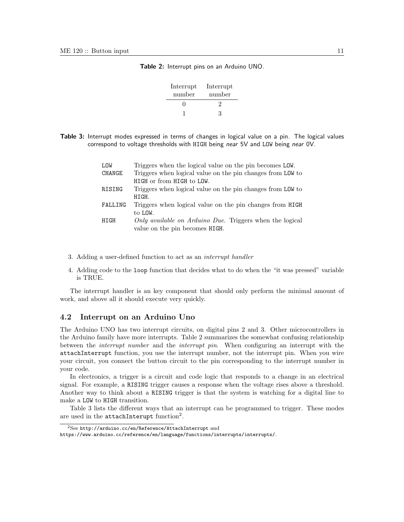| Interrupt    | Interrupt |
|--------------|-----------|
| number       | number    |
| $\mathbf{I}$ | 2         |
|              | 3         |

Table 2: Interrupt pins on an Arduino UNO.

Table 3: Interrupt modes expressed in terms of changes in logical value on a pin. The logical values correspond to voltage thresholds with HIGH being near 5V and LOW being near OV.

| LOW     | Triggers when the logical value on the pin becomes LOW.         |
|---------|-----------------------------------------------------------------|
| CHANGE  | Triggers when logical value on the pin changes from LOW to      |
|         | HIGH or from HIGH to LOW.                                       |
| RISING  | Triggers when logical value on the pin changes from LOW to      |
|         | HIGH.                                                           |
| FALLING | Triggers when logical value on the pin changes from HIGH        |
|         | to LOW.                                                         |
| HIGH    | <i>Only available on Arduino Due.</i> Triggers when the logical |
|         | value on the pin becomes HIGH.                                  |
|         |                                                                 |

- 3. Adding a user-defined function to act as an interrupt handler
- 4. Adding code to the loop function that decides what to do when the "it was pressed" variable is TRUE.

The interrupt handler is an key component that should only perform the minimal amount of work, and above all it should execute very quickly.

### 4.2 Interrupt on an Arduino Uno

The Arduino UNO has two interrupt circuits, on digital pins 2 and 3. Other microcontrollers in the Arduino family have more interrupts. Table 2 summarizes the somewhat confusing relationship between the interrupt number and the interrupt pin. When configuring an interrupt with the attachInterrupt function, you use the interrupt number, not the interrupt pin. When you wire your circuit, you connect the button circuit to the pin corresponding to the interrupt number in your code.

In electronics, a trigger is a circuit and code logic that responds to a change in an electrical signal. For example, a RISING trigger causes a response when the voltage rises above a threshold. Another way to think about a RISING trigger is that the system is watching for a digital line to make a LOW to HIGH transition.

Table 3 lists the different ways that an interrupt can be programmed to trigger. These modes are used in the attachInterupt function<sup>2</sup>.

<sup>2</sup>See http://arduino.cc/en/Reference/AttachInterrupt and

https://www.arduino.cc/reference/en/language/functions/interrupts/interrupts/.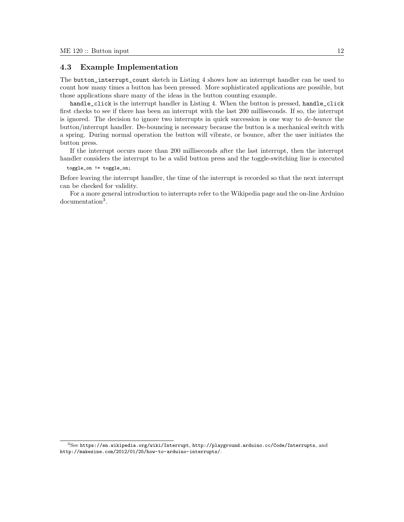### 4.3 Example Implementation

The button\_interrupt\_count sketch in Listing 4 shows how an interrupt handler can be used to count how many times a button has been pressed. More sophisticated applications are possible, but those applications share many of the ideas in the button counting example.

handle\_click is the interrupt handler in Listing 4. When the button is pressed, handle\_click first checks to see if there has been an interrupt with the last 200 milliseconds. If so, the interrupt is ignored. The decision to ignore two interrupts in quick succession is one way to de-bounce the button/interrupt handler. De-bouncing is necessary because the button is a mechanical switch with a spring. During normal operation the button will vibrate, or bounce, after the user initiates the button press.

If the interrupt occurs more than 200 milliseconds after the last interrupt, then the interrupt handler considers the interrupt to be a valid button press and the toggle-switching line is executed

toggle\_on != toggle\_on;

Before leaving the interrupt handler, the time of the interrupt is recorded so that the next interrupt can be checked for validity.

For a more general introduction to interrupts refer to the Wikipedia page and the on-line Arduino documentation<sup>3</sup> .

<sup>3</sup>See https://en.wikipedia.org/wiki/Interrupt, http://playground.arduino.cc/Code/Interrupts, and http://makezine.com/2012/01/25/how-to-arduino-interrupts/.